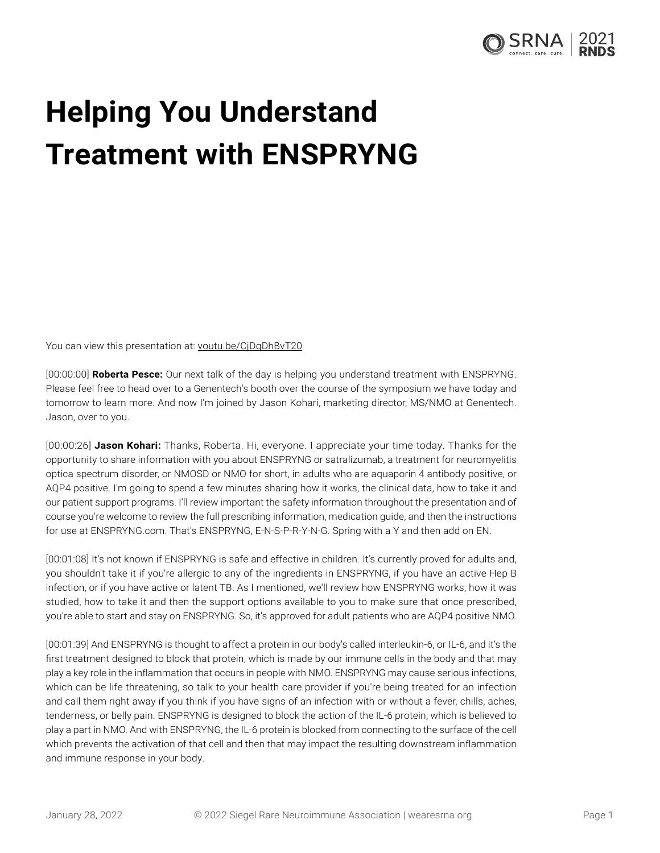

## **Helping You Understand Treatment with ENSPRYNG**

You can view this presentation at: youtu.be/CiDqDhBvT20

[00:00:00] **Roberta Pesce:** Our next talk of the day is helping you understand treatment with ENSPRYNG. Please feel free to head over to a Genentech's booth over the course of the symposium we have today and tomorrow to learn more. And now I'm joined by Jason Kohari, marketing director, MS/NMO at Genentech. Jason, over to you.

[00:00:26] **Jason Kohari:** Thanks, Roberta. Hi, everyone. I appreciate your time today. Thanks for the opportunity to share information with you about ENSPRYNG or satralizumab, a treatment for neuromyelitis optica spectrum disorder, or NMOSD or NMO for short, in adults who are aquaporin 4 antibody positive, or AQP4 positive. I'm going to spend a few minutes sharing how it works, the clinical data, how to take it and our patient support programs. I'll review important the safety information throughout the presentation and of course you're welcome to review the full prescribing information, medication guide, and then the instructions for use at ENSPRYNG.com. That's ENSPRYNG, E-N-S-P-R-Y-N-G. Spring with a Y and then add on EN.

[00:01:08] It's not known if ENSPRYNG is safe and effective in children. It's currently proved for adults and, you shouldn't take it if you're allergic to any of the ingredients in ENSPRYNG, if you have an active Hep B infection, or if you have active or latent TB. As I mentioned, we'll review how ENSPRYNG works, how it was studied, how to take it and then the support options available to you to make sure that once prescribed, you're able to start and stay on ENSPRYNG. So, it's approved for adult patients who are AQP4 positive NMO.

[00:01:39] And ENSPRYNG is thought to affect a protein in our body's called interleukin-6, or IL-6, and it's the first treatment designed to block that protein, which is made by our immune cells in the body and that may play a key role in the inflammation that occurs in people with NMO. ENSPRYNG may cause serious infections, which can be life threatening, so talk to your health care provider if you're being treated for an infection and call them right away if you think if you have signs of an infection with or without a fever, chills, aches, tenderness, or belly pain. ENSPRYNG is designed to block the action of the IL-6 protein, which is believed to play a part in NMO. And with ENSPRYNG, the IL-6 protein is blocked from connecting to the surface of the cell which prevents the activation of that cell and then that may impact the resulting downstream inflammation and immune response in your body.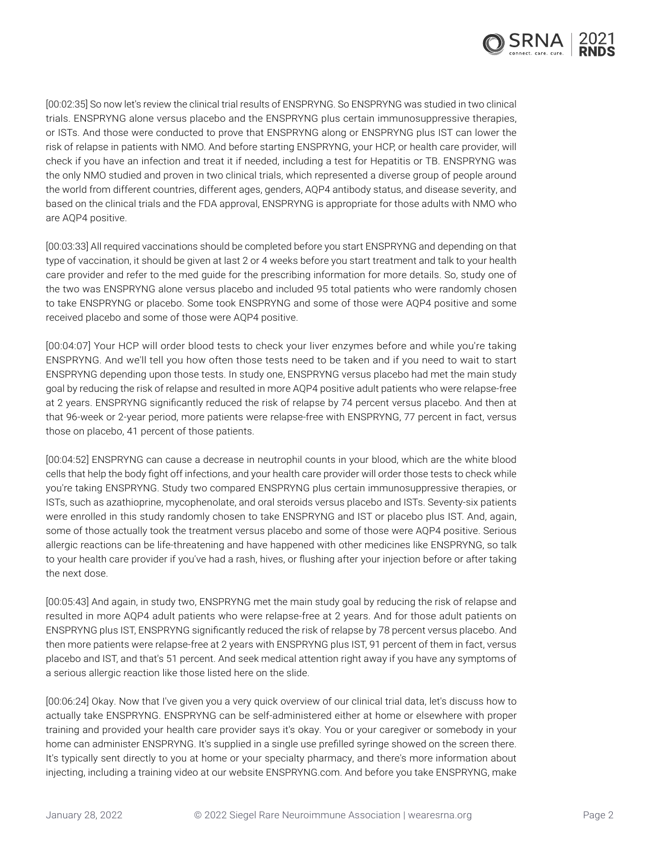

[00:02:35] So now let's review the clinical trial results of ENSPRYNG. So ENSPRYNG was studied in two clinical trials. ENSPRYNG alone versus placebo and the ENSPRYNG plus certain immunosuppressive therapies, or ISTs. And those were conducted to prove that ENSPRYNG along or ENSPRYNG plus IST can lower the risk of relapse in patients with NMO. And before starting ENSPRYNG, your HCP, or health care provider, will check if you have an infection and treat it if needed, including a test for Hepatitis or TB. ENSPRYNG was the only NMO studied and proven in two clinical trials, which represented a diverse group of people around the world from different countries, different ages, genders, AQP4 antibody status, and disease severity, and based on the clinical trials and the FDA approval, ENSPRYNG is appropriate for those adults with NMO who are AQP4 positive.

[00:03:33] All required vaccinations should be completed before you start ENSPRYNG and depending on that type of vaccination, it should be given at last 2 or 4 weeks before you start treatment and talk to your health care provider and refer to the med guide for the prescribing information for more details. So, study one of the two was ENSPRYNG alone versus placebo and included 95 total patients who were randomly chosen to take ENSPRYNG or placebo. Some took ENSPRYNG and some of those were AQP4 positive and some received placebo and some of those were AQP4 positive.

[00:04:07] Your HCP will order blood tests to check your liver enzymes before and while you're taking ENSPRYNG. And we'll tell you how often those tests need to be taken and if you need to wait to start ENSPRYNG depending upon those tests. In study one, ENSPRYNG versus placebo had met the main study goal by reducing the risk of relapse and resulted in more AQP4 positive adult patients who were relapse-free at 2 years. ENSPRYNG significantly reduced the risk of relapse by 74 percent versus placebo. And then at that 96-week or 2-year period, more patients were relapse-free with ENSPRYNG, 77 percent in fact, versus those on placebo, 41 percent of those patients.

[00:04:52] ENSPRYNG can cause a decrease in neutrophil counts in your blood, which are the white blood cells that help the body fight off infections, and your health care provider will order those tests to check while you're taking ENSPRYNG. Study two compared ENSPRYNG plus certain immunosuppressive therapies, or ISTs, such as azathioprine, mycophenolate, and oral steroids versus placebo and ISTs. Seventy-six patients were enrolled in this study randomly chosen to take ENSPRYNG and IST or placebo plus IST. And, again, some of those actually took the treatment versus placebo and some of those were AQP4 positive. Serious allergic reactions can be life-threatening and have happened with other medicines like ENSPRYNG, so talk to your health care provider if you've had a rash, hives, or flushing after your injection before or after taking the next dose.

[00:05:43] And again, in study two, ENSPRYNG met the main study goal by reducing the risk of relapse and resulted in more AQP4 adult patients who were relapse-free at 2 years. And for those adult patients on ENSPRYNG plus IST, ENSPRYNG significantly reduced the risk of relapse by 78 percent versus placebo. And then more patients were relapse-free at 2 years with ENSPRYNG plus IST, 91 percent of them in fact, versus placebo and IST, and that's 51 percent. And seek medical attention right away if you have any symptoms of a serious allergic reaction like those listed here on the slide.

[00:06:24] Okay. Now that I've given you a very quick overview of our clinical trial data, let's discuss how to actually take ENSPRYNG. ENSPRYNG can be self-administered either at home or elsewhere with proper training and provided your health care provider says it's okay. You or your caregiver or somebody in your home can administer ENSPRYNG. It's supplied in a single use prefilled syringe showed on the screen there. It's typically sent directly to you at home or your specialty pharmacy, and there's more information about injecting, including a training video at our website ENSPRYNG.com. And before you take ENSPRYNG, make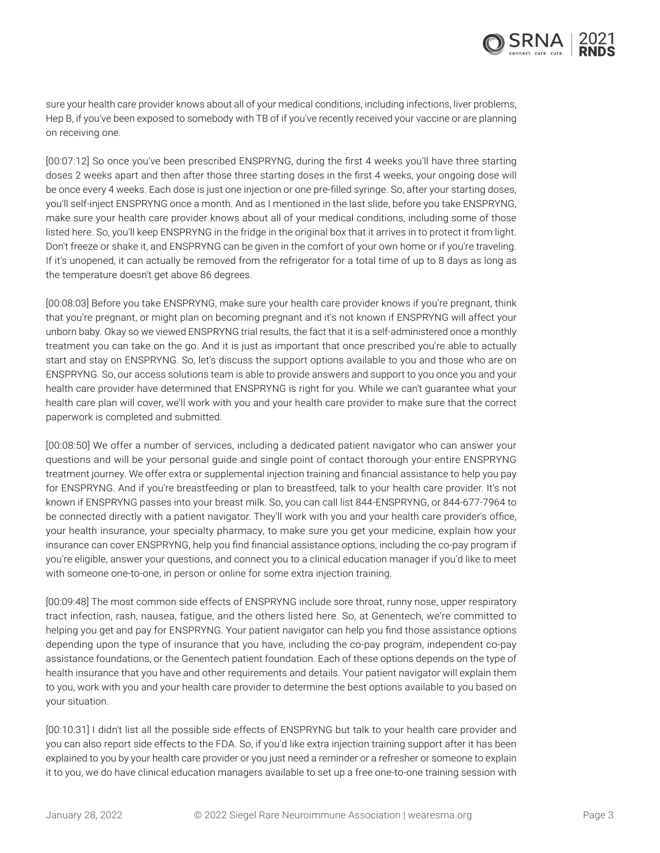sure your health care provider knows about all of your medical conditions, including infections, liver problems, Hep B, if you've been exposed to somebody with TB of if you've recently received your vaccine or are planning on receiving one.

[00:07:12] So once you've been prescribed ENSPRYNG, during the first 4 weeks you'll have three starting doses 2 weeks apart and then after those three starting doses in the first 4 weeks, your ongoing dose will be once every 4 weeks. Each dose is just one injection or one pre-filled syringe. So, after your starting doses, you'll self-inject ENSPRYNG once a month. And as I mentioned in the last slide, before you take ENSPRYNG, make sure your health care provider knows about all of your medical conditions, including some of those listed here. So, you'll keep ENSPRYNG in the fridge in the original box that it arrives in to protect it from light. Don't freeze or shake it, and ENSPRYNG can be given in the comfort of your own home or if you're traveling. If it's unopened, it can actually be removed from the refrigerator for a total time of up to 8 days as long as the temperature doesn't get above 86 degrees.

[00:08:03] Before you take ENSPRYNG, make sure your health care provider knows if you're pregnant, think that you're pregnant, or might plan on becoming pregnant and it's not known if ENSPRYNG will affect your unborn baby. Okay so we viewed ENSPRYNG trial results, the fact that it is a self-administered once a monthly treatment you can take on the go. And it is just as important that once prescribed you're able to actually start and stay on ENSPRYNG. So, let's discuss the support options available to you and those who are on ENSPRYNG. So, our access solutions team is able to provide answers and support to you once you and your health care provider have determined that ENSPRYNG is right for you. While we can't guarantee what your health care plan will cover, we'll work with you and your health care provider to make sure that the correct paperwork is completed and submitted.

[00:08:50] We offer a number of services, including a dedicated patient navigator who can answer your questions and will be your personal guide and single point of contact thorough your entire ENSPRYNG treatment journey. We offer extra or supplemental injection training and financial assistance to help you pay for ENSPRYNG. And if you're breastfeeding or plan to breastfeed, talk to your health care provider. It's not known if ENSPRYNG passes into your breast milk. So, you can call list 844-ENSPRYNG, or 844-677-7964 to be connected directly with a patient navigator. They'll work with you and your health care provider's office, your health insurance, your specialty pharmacy, to make sure you get your medicine, explain how your insurance can cover ENSPRYNG, help you find financial assistance options, including the co-pay program if you're eligible, answer your questions, and connect you to a clinical education manager if you'd like to meet with someone one-to-one, in person or online for some extra injection training.

[00:09:48] The most common side effects of ENSPRYNG include sore throat, runny nose, upper respiratory tract infection, rash, nausea, fatigue, and the others listed here. So, at Genentech, we're committed to helping you get and pay for ENSPRYNG. Your patient navigator can help you find those assistance options depending upon the type of insurance that you have, including the co-pay program, independent co-pay assistance foundations, or the Genentech patient foundation. Each of these options depends on the type of health insurance that you have and other requirements and details. Your patient navigator will explain them to you, work with you and your health care provider to determine the best options available to you based on your situation.

[00:10:31] I didn't list all the possible side effects of ENSPRYNG but talk to your health care provider and you can also report side effects to the FDA. So, if you'd like extra injection training support after it has been explained to you by your health care provider or you just need a reminder or a refresher or someone to explain it to you, we do have clinical education managers available to set up a free one-to-one training session with